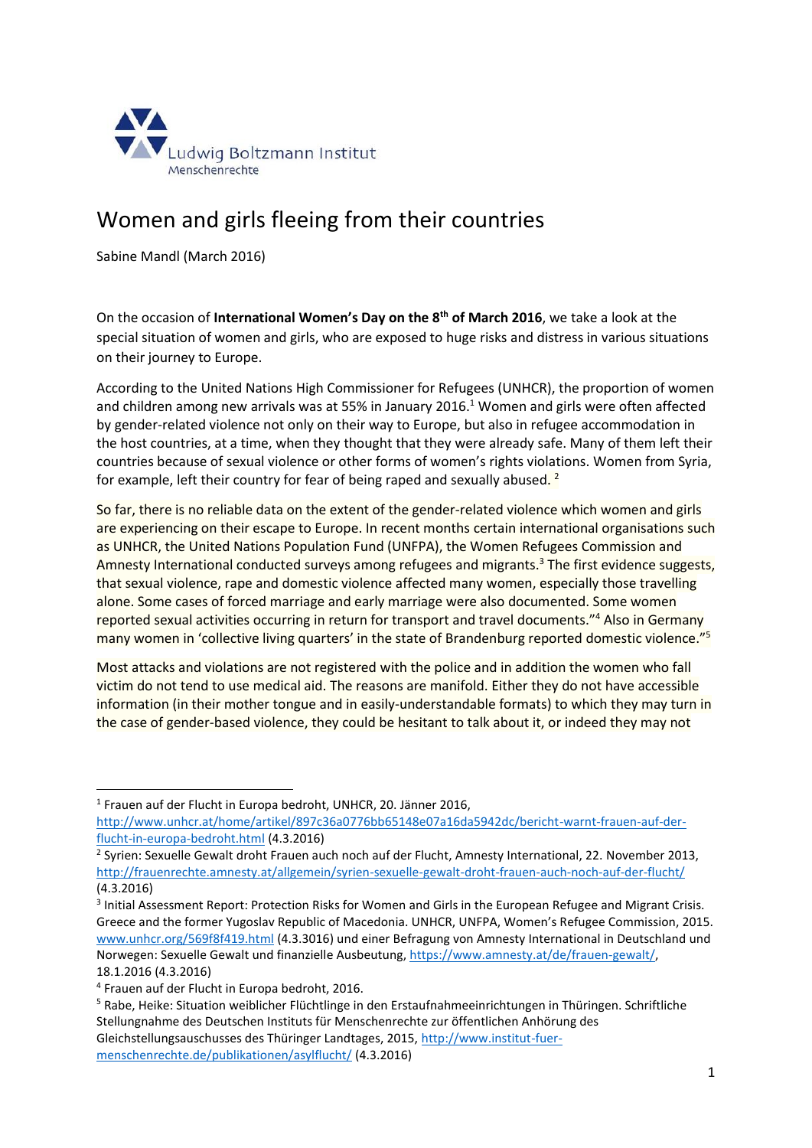

## Women and girls fleeing from their countries

Sabine Mandl (March 2016)

On the occasion of **International Women's Day on the 8th of March 2016**, we take a look at the special situation of women and girls, who are exposed to huge risks and distress in various situations on their journey to Europe.

According to the United Nations High Commissioner for Refugees (UNHCR), the proportion of women and children among new arrivals was at 55% in January 2016.<sup>1</sup> Women and girls were often affected by gender-related violence not only on their way to Europe, but also in refugee accommodation in the host countries, at a time, when they thought that they were already safe. Many of them left their countries because of sexual violence or other forms of women's rights violations. Women from Syria, for example, left their country for fear of being raped and sexually abused.<sup>2</sup>

So far, there is no reliable data on the extent of the gender-related violence which women and girls are experiencing on their escape to Europe. In recent months certain international organisations such as UNHCR, the United Nations Population Fund (UNFPA), the Women Refugees Commission and Amnesty International conducted surveys among refugees and migrants.<sup>3</sup> The first evidence suggests, that sexual violence, rape and domestic violence affected many women, especially those travelling alone. Some cases of forced marriage and early marriage were also documented. Some women reported sexual activities occurring in return for transport and travel documents."<sup>4</sup> Also in Germany many women in 'collective living quarters' in the state of Brandenburg reported domestic violence."<sup>5</sup>

Most attacks and violations are not registered with the police and in addition the women who fall victim do not tend to use medical aid. The reasons are manifold. Either they do not have accessible information (in their mother tongue and in easily-understandable formats) to which they may turn in the case of gender-based violence, they could be hesitant to talk about it, or indeed they may not

1 Frauen auf der Flucht in Europa bedroht, UNHCR, 20. Jänner 2016, [http://www.unhcr.at/home/artikel/897c36a0776bb65148e07a16da5942dc/bericht-warnt-frauen-auf-der](http://www.unhcr.at/home/artikel/897c36a0776bb65148e07a16da5942dc/bericht-warnt-frauen-auf-der-flucht-in-europa-bedroht.html)[flucht-in-europa-bedroht.html](http://www.unhcr.at/home/artikel/897c36a0776bb65148e07a16da5942dc/bericht-warnt-frauen-auf-der-flucht-in-europa-bedroht.html) (4.3.2016)

<sup>2</sup> Syrien: Sexuelle Gewalt droht Frauen auch noch auf der Flucht, Amnesty International, 22. November 2013, <http://frauenrechte.amnesty.at/allgemein/syrien-sexuelle-gewalt-droht-frauen-auch-noch-auf-der-flucht/> (4.3.2016)

<sup>3</sup> Initial Assessment Report: Protection Risks for Women and Girls in the European Refugee and Migrant Crisis. Greece and the former Yugoslav Republic of Macedonia. UNHCR, UNFPA, Women's Refugee Commission, 2015. [www.unhcr.org/569f8f419.html](http://www.unhcr.org/569f8f419.html) (4.3.3016) und einer Befragung von Amnesty International in Deutschland und Norwegen: Sexuelle Gewalt und finanzielle Ausbeutung[, https://www.amnesty.at/de/frauen-gewalt/,](https://www.amnesty.at/de/frauen-gewalt/)  18.1.2016 (4.3.2016)

1

<sup>4</sup> Frauen auf der Flucht in Europa bedroht, 2016.

<sup>5</sup> Rabe, Heike: Situation weiblicher Flüchtlinge in den Erstaufnahmeeinrichtungen in Thüringen. Schriftliche Stellungnahme des Deutschen Instituts für Menschenrechte zur öffentlichen Anhörung des Gleichstellungsauschusses des Thüringer Landtages, 2015, [http://www.institut-fuer](http://www.institut-fuer-menschenrechte.de/publikationen/asylflucht/)[menschenrechte.de/publikationen/asylflucht/](http://www.institut-fuer-menschenrechte.de/publikationen/asylflucht/) (4.3.2016)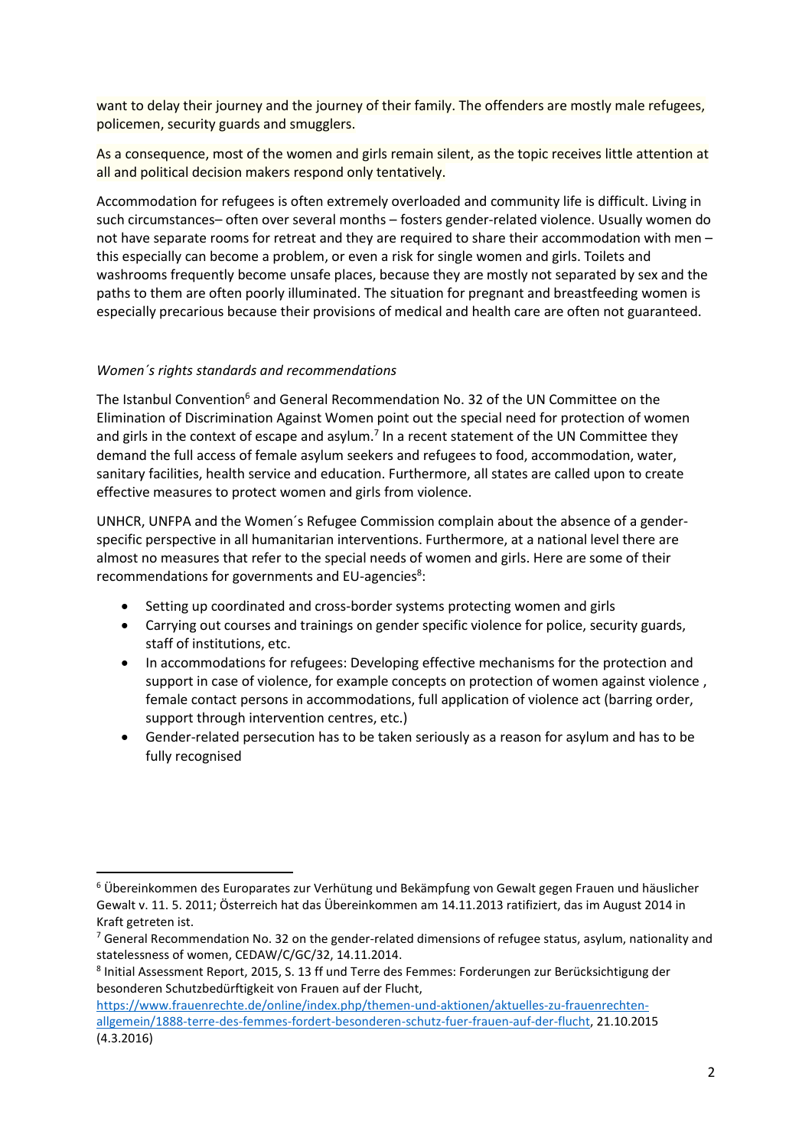want to delay their journey and the journey of their family. The offenders are mostly male refugees, policemen, security guards and smugglers.

As a consequence, most of the women and girls remain silent, as the topic receives little attention at all and political decision makers respond only tentatively.

Accommodation for refugees is often extremely overloaded and community life is difficult. Living in such circumstances– often over several months – fosters gender-related violence. Usually women do not have separate rooms for retreat and they are required to share their accommodation with men – this especially can become a problem, or even a risk for single women and girls. Toilets and washrooms frequently become unsafe places, because they are mostly not separated by sex and the paths to them are often poorly illuminated. The situation for pregnant and breastfeeding women is especially precarious because their provisions of medical and health care are often not guaranteed.

## *Women´s rights standards and recommendations*

**.** 

The Istanbul Convention<sup>6</sup> and General Recommendation No. 32 of the UN Committee on the Elimination of Discrimination Against Women point out the special need for protection of women and girls in the context of escape and asylum.<sup>7</sup> In a recent statement of the UN Committee they demand the full access of female asylum seekers and refugees to food, accommodation, water, sanitary facilities, health service and education. Furthermore, all states are called upon to create effective measures to protect women and girls from violence.

UNHCR, UNFPA and the Women´s Refugee Commission complain about the absence of a genderspecific perspective in all humanitarian interventions. Furthermore, at a national level there are almost no measures that refer to the special needs of women and girls. Here are some of their recommendations for governments and EU-agencies<sup>8</sup>:

- Setting up coordinated and cross-border systems protecting women and girls
- Carrying out courses and trainings on gender specific violence for police, security guards, staff of institutions, etc.
- In accommodations for refugees: Developing effective mechanisms for the protection and support in case of violence, for example concepts on protection of women against violence , female contact persons in accommodations, full application of violence act (barring order, support through intervention centres, etc.)
- Gender-related persecution has to be taken seriously as a reason for asylum and has to be fully recognised

<sup>6</sup> Übereinkommen des Europarates zur Verhütung und Bekämpfung von Gewalt gegen Frauen und häuslicher Gewalt v. 11. 5. 2011; Österreich hat das Übereinkommen am 14.11.2013 ratifiziert, das im August 2014 in Kraft getreten ist.

<sup>&</sup>lt;sup>7</sup> General Recommendation No. 32 on the gender-related dimensions of refugee status, asylum, nationality and statelessness of women, CEDAW/C/GC/32, 14.11.2014.

<sup>8</sup> Initial Assessment Report, 2015, S. 13 ff und Terre des Femmes: Forderungen zur Berücksichtigung der besonderen Schutzbedürftigkeit von Frauen auf der Flucht,

[https://www.frauenrechte.de/online/index.php/themen-und-aktionen/aktuelles-zu-frauenrechten](https://www.frauenrechte.de/online/index.php/themen-und-aktionen/aktuelles-zu-frauenrechten-allgemein/1888-terre-des-femmes-fordert-besonderen-schutz-fuer-frauen-auf-der-flucht)[allgemein/1888-terre-des-femmes-fordert-besonderen-schutz-fuer-frauen-auf-der-flucht,](https://www.frauenrechte.de/online/index.php/themen-und-aktionen/aktuelles-zu-frauenrechten-allgemein/1888-terre-des-femmes-fordert-besonderen-schutz-fuer-frauen-auf-der-flucht) 21.10.2015 (4.3.2016)